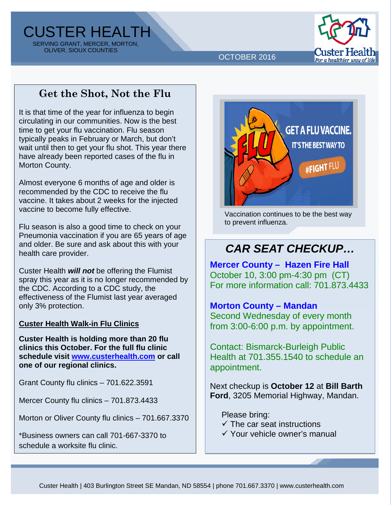CUSTER HEALTH SERVING GRANT, MERCER, MORTON, OLIVER, SIOUX COUNTIES



OCTOBER 2016

## **Get the Shot, Not the Flu**

It is that time of the year for influenza to begin circulating in our communities. Now is the best time to get your flu vaccination. Flu season typically peaks in February or March, but don't wait until then to get your flu shot. This year there have already been reported cases of the flu in Morton County.

Almost everyone 6 months of age and older is recommended by the CDC to receive the flu vaccine. It takes about 2 weeks for the injected vaccine to become fully effective.

Flu season is also a good time to check on your Pneumonia vaccination if you are 65 years of age and older. Be sure and ask about this with your health care provider.

Custer Health *will not* be offering the Flumist spray this year as it is no longer recommended by the CDC. According to a CDC study, the effectiveness of the Flumist last year averaged only 3% protection.

### **Custer Health Walk-in Flu Clinics**

**Custer Health is holding more than 20 flu clinics this October. For the full flu clinic schedule visit [www.custerhealth.com](http://www.custerhealth.com/) or call one of our regional clinics.**

Grant County flu clinics – 701.622.3591

Mercer County flu clinics – 701.873.4433

Morton or Oliver County flu clinics – 701.667.3370

\*Business owners can call 701-667-3370 to schedule a worksite flu clinic.



Vaccination continues to be the best way to prevent influenza.

## *CAR SEAT CHECKUP…*

**Mercer County – Hazen Fire Hall** October 10, 3:00 pm-4:30 pm (CT) For more information call: 701.873.4433

### **Morton County – Mandan**

Second Wednesday of every month from 3:00-6:00 p.m. by appointment.

Contact: Bismarck-Burleigh Public Health at 701.355.1540 to schedule an appointment.

Next checkup is **October 12** at **Bill Barth Ford**, 3205 Memorial Highway, Mandan.

Please bring:

- $\checkmark$  The car seat instructions
- $\checkmark$  Your vehicle owner's manual